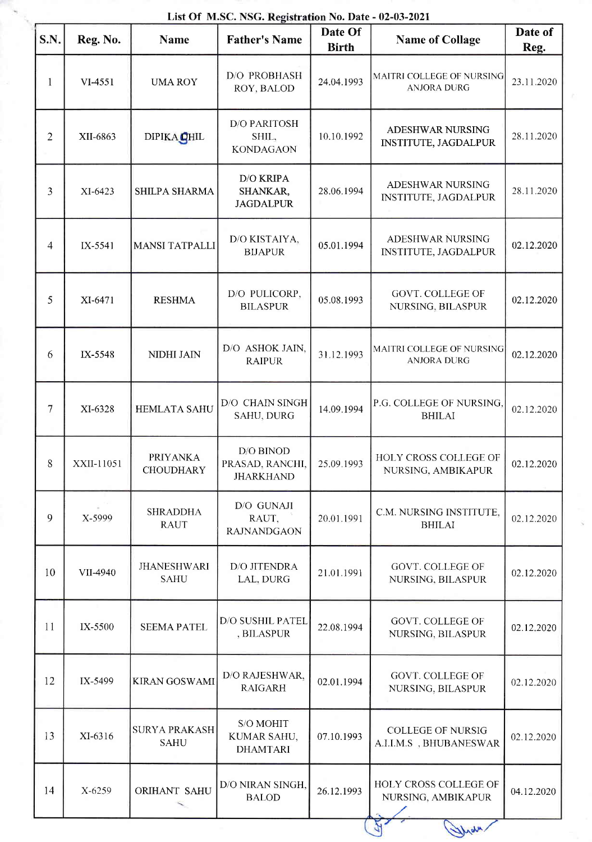|                |            |                                     | List Of M.SC. NSG. Registration No. Date - 02-03-2021 | Date Of      |                                                     | Date of    |
|----------------|------------|-------------------------------------|-------------------------------------------------------|--------------|-----------------------------------------------------|------------|
| S.N.           | Reg. No.   | <b>Name</b>                         | <b>Father's Name</b>                                  | <b>Birth</b> | <b>Name of Collage</b>                              | Reg.       |
| $\mathbf{1}$   | VI-4551    | <b>UMA ROY</b>                      | D/O PROBHASH<br>ROY, BALOD                            | 24.04.1993   | MAITRI COLLEGE OF NURSING<br><b>ANJORA DURG</b>     | 23.11.2020 |
| $\overline{2}$ | XII-6863   | DIPIKA <b>QHIL</b>                  | <b>D/O PARITOSH</b><br>SHIL,<br><b>KONDAGAON</b>      | 10.10.1992   | ADESHWAR NURSING<br><b>INSTITUTE, JAGDALPUR</b>     | 28.11.2020 |
| 3              | XI-6423    | SHILPA SHARMA                       | <b>D/O KRIPA</b><br>SHANKAR,<br><b>JAGDALPUR</b>      | 28.06.1994   | ADESHWAR NURSING<br>INSTITUTE, JAGDALPUR            | 28.11.2020 |
| 4              | IX-5541    | <b>MANSI TATPALLI</b>               | D/O KISTAIYA,<br><b>BIJAPUR</b>                       | 05.01.1994   | ADESHWAR NURSING<br><b>INSTITUTE, JAGDALPUR</b>     | 02.12.2020 |
| 5              | XI-6471    | <b>RESHMA</b>                       | D/O PULICORP,<br><b>BILASPUR</b>                      | 05.08.1993   | <b>GOVT. COLLEGE OF</b><br>NURSING, BILASPUR        | 02.12.2020 |
| 6              | IX-5548    | NIDHI JAIN                          | D/O ASHOK JAIN,<br><b>RAIPUR</b>                      | 31.12.1993   | MAITRI COLLEGE OF NURSING<br><b>ANJORA DURG</b>     | 02.12.2020 |
| $\overline{7}$ | XI-6328    | <b>HEMLATA SAHU</b>                 | D/O CHAIN SINGH<br><b>SAHU, DURG</b>                  | 14.09.1994   | P.G. COLLEGE OF NURSING,<br><b>BHILAI</b>           | 02.12.2020 |
| $\mathsf{R}$   | XXII-11051 | <b>PRIYANKA</b><br><b>CHOUDHARY</b> | D/O BINOD<br>PRASAD, RANCHI,<br><b>JHARKHAND</b>      | 25.09.1993   | HOLY CROSS COLLEGE OF<br>NURSING, AMBIKAPUR         | 02.12.2020 |
| 9              | X-5999     | <b>SHRADDHA</b><br><b>RAUT</b>      | D/O GUNAJI<br>RAUT,<br><b>RAJNANDGAON</b>             | 20.01.1991   | C.M. NURSING INSTITUTE,<br><b>BHILAI</b>            | 02.12.2020 |
| 10             | VII-4940   | <b>JHANESHWARI</b><br><b>SAHU</b>   | D/O JITENDRA<br>LAL, DURG                             | 21.01.1991   | <b>GOVT. COLLEGE OF</b><br>NURSING, BILASPUR        | 02.12.2020 |
| 11             | IX-5500    | <b>SEEMA PATEL</b>                  | D/O SUSHIL PATEL<br>, BILASPUR                        | 22.08.1994   | <b>GOVT. COLLEGE OF</b><br>NURSING, BILASPUR        | 02.12.2020 |
| 12             | IX-5499    | <b>KIRAN GOSWAMI</b>                | D/O RAJESHWAR,<br><b>RAIGARH</b>                      | 02.01.1994   | <b>GOVT. COLLEGE OF</b><br>NURSING, BILASPUR        | 02.12.2020 |
| 13             | XI-6316    | <b>SURYA PRAKASH</b><br><b>SAHU</b> | S/O MOHIT<br>KUMAR SAHU,<br><b>DHAMTARI</b>           | 07.10.1993   | <b>COLLEGE OF NURSIG</b><br>A.I.I.M.S , BHUBANESWAR | 02.12.2020 |
| 14             | X-6259     | ORIHANT SAHU                        | D/O NIRAN SINGH,<br><b>BALOD</b>                      | 26.12.1993   | HOLY CROSS COLLEGE OF<br>NURSING, AMBIKAPUR         | 04.12.2020 |
|                |            |                                     |                                                       |              | Work                                                |            |

## List Of M.SC. NSG. Registration No. Date - 02-03-2021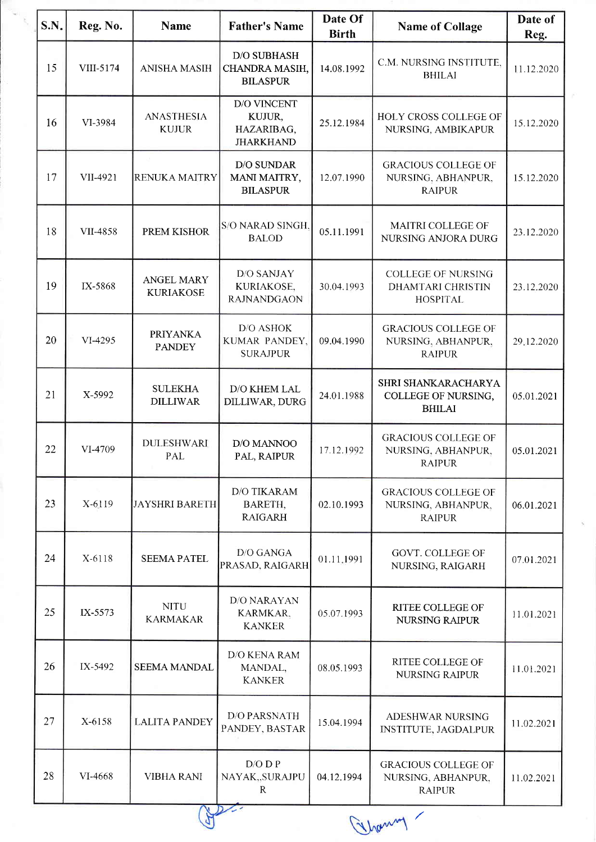| S.N.       | Reg. No.  | <b>Name</b>                           | <b>Father's Name</b>                                           | Date Of<br><b>Birth</b> | <b>Name of Collage</b>                                                   | Date of<br>Reg. |
|------------|-----------|---------------------------------------|----------------------------------------------------------------|-------------------------|--------------------------------------------------------------------------|-----------------|
| 15         | VIII-5174 | <b>ANISHA MASIH</b>                   | <b>D/O SUBHASH</b><br>CHANDRA MASIH,<br><b>BILASPUR</b>        | 14.08.1992              | C.M. NURSING INSTITUTE,<br><b>BHILAI</b>                                 | 11.12.2020      |
| 16         | VI-3984   | <b>ANASTHESIA</b><br><b>KUJUR</b>     | <b>D/O VINCENT</b><br>KUJUR,<br>HAZARIBAG,<br><b>JHARKHAND</b> | 25.12.1984              | HOLY CROSS COLLEGE OF<br>NURSING, AMBIKAPUR                              | 15.12.2020      |
| 17         | VII-4921  | <b>RENUKA MAITRY</b>                  | D/O SUNDAR<br>MANI MAITRY,<br><b>BILASPUR</b>                  | 12.07.1990              | <b>GRACIOUS COLLEGE OF</b><br>NURSING, ABHANPUR,<br><b>RAIPUR</b>        | 15.12.2020      |
| 18         | VII-4858  | PREM KISHOR                           | S/O NARAD SINGH,<br><b>BALOD</b>                               | 05.11.1991              | MAITRI COLLEGE OF<br>NURSING ANJORA DURG                                 | 23.12.2020      |
| 19         | IX-5868   | <b>ANGEL MARY</b><br><b>KURIAKOSE</b> | D/O SANJAY<br>KURIAKOSE,<br><b>RAJNANDGAON</b>                 | 30.04.1993              | <b>COLLEGE OF NURSING</b><br><b>DHAMTARI CHRISTIN</b><br><b>HOSPITAL</b> | 23.12.2020      |
| 20         | VI-4295   | <b>PRIYANKA</b><br><b>PANDEY</b>      | D/O ASHOK<br>KUMAR PANDEY,<br><b>SURAJPUR</b>                  | 09.04.1990              | <b>GRACIOUS COLLEGE OF</b><br>NURSING, ABHANPUR,<br><b>RAIPUR</b>        | 29,12.2020      |
| 21         | X-5992    | <b>SULEKHA</b><br><b>DILLIWAR</b>     | D/O KHEM LAL<br>DILLIWAR, DURG                                 | 24.01.1988              | SHRI SHANKARACHARYA<br>COLLEGE OF NURSING,<br><b>BHILAI</b>              | 05.01.2021      |
| 22         | VI-4709   | <b>DULESHWARI</b><br><b>PAL</b>       | D/O MANNOO<br>PAL, RAIPUR                                      | 17.12.1992              | <b>GRACIOUS COLLEGE OF</b><br>NURSING, ABHANPUR,<br><b>RAIPUR</b>        | 05.01.2021      |
| 23         | X-6119    | <b>JAYSHRI BARETH</b>                 | <b>D/O TIKARAM</b><br>BARETH,<br><b>RAIGARH</b>                | 02.10.1993              | <b>GRACIOUS COLLEGE OF</b><br>NURSING, ABHANPUR,<br><b>RAIPUR</b>        | 06.01.2021      |
| 24         | X-6118    | <b>SEEMA PATEL</b>                    | D/O GANGA<br>PRASAD, RAIGARH                                   | 01.11.1991              | GOVT. COLLEGE OF<br>NURSING, RAIGARH                                     | 07.01.2021      |
| 25         | IX-5573   | <b>NITU</b><br><b>KARMAKAR</b>        | D/O NARAYAN<br>KARMKAR,<br><b>KANKER</b>                       | 05.07.1993              | <b>RITEE COLLEGE OF</b><br><b>NURSING RAIPUR</b>                         | 11.01.2021      |
| 26         | IX-5492   | <b>SEEMA MANDAL</b>                   | <b>D/O KENA RAM</b><br>MANDAL,<br><b>KANKER</b>                | 08.05.1993              | RITEE COLLEGE OF<br><b>NURSING RAIPUR</b>                                | 11.01.2021      |
| 27         | X-6158    | <b>LALITA PANDEY</b>                  | <b>D/O PARSNATH</b><br>PANDEY, BASTAR                          | 15.04.1994              | ADESHWAR NURSING<br><b>INSTITUTE, JAGDALPUR</b>                          | 11.02.2021      |
| 28         | VI-4668   | <b>VIBHA RANI</b>                     | $D/O$ $D$ $P$<br>NAYAK,,SURAJPU<br>R                           | 04.12.1994              | <b>GRACIOUS COLLEGE OF</b><br>NURSING, ABHANPUR,<br><b>RAIPUR</b>        | 11.02.2021      |
| (incoment) |           |                                       |                                                                |                         |                                                                          |                 |

Ghammy